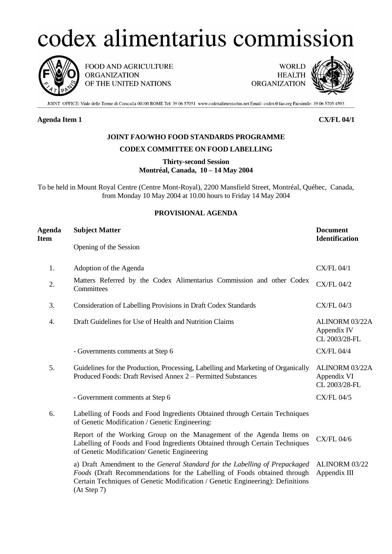# codex alimentarius commission



FOOD AND AGRICULTURE **ORGANIZATION** OF THE UNITED NATIONS

**WORLD HEALTH ORGANIZATION** 



JOINT OFFICE: Viale delle Terme di Caracalla 00100 ROME Tel: 39 06 57051 www.codexalimentarius.net Email: codex@fao.org Facsimile: 39 06 5705 4593

### **Agenda Item 1 CX/FL 04/1**

## **JOINT FAO/WHO FOOD STANDARDS PROGRAMME**

### **CODEX COMMITTEE ON FOOD LABELLING**

**Thirty-second Session Montréal, Canada, 10 – 14 May 2004**

To be held in Mount Royal Centre (Centre Mont-Royal), 2200 Mansfield Street, Montréal, Québec, Canada, from Monday 10 May 2004 at 10.00 hours to Friday 14 May 2004

## **PROVISIONAL AGENDA**

| Agenda<br>Item | <b>Subject Matter</b>                                                                                                                                                                                                                                    | <b>Document</b><br><b>Identification</b>       |
|----------------|----------------------------------------------------------------------------------------------------------------------------------------------------------------------------------------------------------------------------------------------------------|------------------------------------------------|
|                | Opening of the Session                                                                                                                                                                                                                                   |                                                |
| 1.             | Adoption of the Agenda                                                                                                                                                                                                                                   | <b>CX/FL 04/1</b>                              |
| 2.             | Matters Referred by the Codex Alimentarius Commission and other Codex<br>Committees                                                                                                                                                                      | <b>CX/FL 04/2</b>                              |
| 3.             | Consideration of Labelling Provisions in Draft Codex Standards                                                                                                                                                                                           | <b>CX/FL 04/3</b>                              |
| 4.             | Draft Guidelines for Use of Health and Nutrition Claims                                                                                                                                                                                                  | ALINORM 03/22A<br>Appendix IV<br>CL 2003/28-FL |
|                | - Governments comments at Step 6                                                                                                                                                                                                                         | <b>CX/FL 04/4</b>                              |
| 5.             | Guidelines for the Production, Processing, Labelling and Marketing of Organically<br>Produced Foods: Draft Revised Annex 2 – Permitted Substances                                                                                                        | ALINORM 03/22A<br>Appendix VI<br>CL 2003/28-FL |
|                | - Government comments at Step 6                                                                                                                                                                                                                          | <b>CX/FL 04/5</b>                              |
| 6.             | Labelling of Foods and Food Ingredients Obtained through Certain Techniques<br>of Genetic Modification / Genetic Engineering:                                                                                                                            |                                                |
|                | Report of the Working Group on the Management of the Agenda Items on<br>Labelling of Foods and Food Ingredients Obtained through Certain Techniques<br>of Genetic Modification/ Genetic Engineering                                                      | <b>CX/FL 04/6</b>                              |
|                | a) Draft Amendment to the General Standard for the Labelling of Prepackaged<br>Foods (Draft Recommendations for the Labelling of Foods obtained through<br>Certain Techniques of Genetic Modification / Genetic Engineering): Definitions<br>(At Step 7) | ALINORM 03/22<br>Appendix III                  |